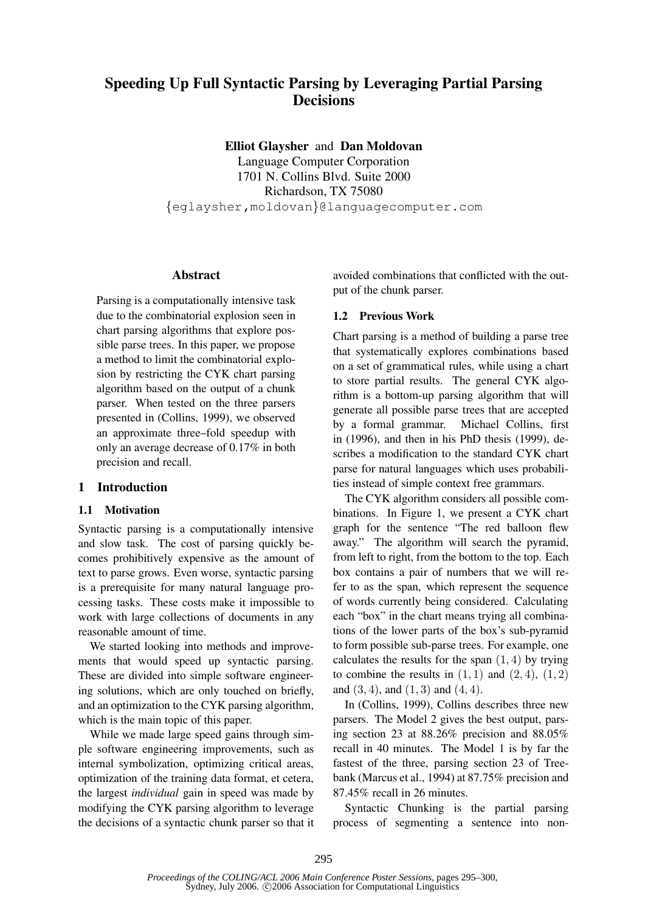# **Speeding Up Full Syntactic Parsing by Leveraging Partial Parsing Decisions**

**Elliot Glaysher** and **Dan Moldovan**

Language Computer Corporation 1701 N. Collins Blvd. Suite 2000 Richardson, TX 75080 {eglaysher,moldovan}@languagecomputer.com

### **Abstract**

Parsing is a computationally intensive task due to the combinatorial explosion seen in chart parsing algorithms that explore possible parse trees. In this paper, we propose a method to limit the combinatorial explosion by restricting the CYK chart parsing algorithm based on the output of a chunk parser. When tested on the three parsers presented in (Collins, 1999), we observed an approximate three–fold speedup with only an average decrease of 0.17% in both precision and recall.

# **1 Introduction**

# **1.1 Motivation**

Syntactic parsing is a computationally intensive and slow task. The cost of parsing quickly becomes prohibitively expensive as the amount of text to parse grows. Even worse, syntactic parsing is a prerequisite for many natural language processing tasks. These costs make it impossible to work with large collections of documents in any reasonable amount of time.

We started looking into methods and improvements that would speed up syntactic parsing. These are divided into simple software engineering solutions, which are only touched on briefly, and an optimization to the CYK parsing algorithm, which is the main topic of this paper.

While we made large speed gains through simple software engineering improvements, such as internal symbolization, optimizing critical areas, optimization of the training data format, et cetera, the largest *individual* gain in speed was made by modifying the CYK parsing algorithm to leverage the decisions of a syntactic chunk parser so that it avoided combinations that conflicted with the output of the chunk parser.

# **1.2 Previous Work**

Chart parsing is a method of building a parse tree that systematically explores combinations based on a set of grammatical rules, while using a chart to store partial results. The general CYK algorithm is a bottom-up parsing algorithm that will generate all possible parse trees that are accepted by a formal grammar. Michael Collins, first in (1996), and then in his PhD thesis (1999), describes a modification to the standard CYK chart parse for natural languages which uses probabilities instead of simple context free grammars.

The CYK algorithm considers all possible combinations. In Figure 1, we present a CYK chart graph for the sentence "The red balloon flew away." The algorithm will search the pyramid, from left to right, from the bottom to the top. Each box contains a pair of numbers that we will refer to as the span, which represent the sequence of words currently being considered. Calculating each "box" in the chart means trying all combinations of the lower parts of the box's sub-pyramid to form possible sub-parse trees. For example, one calculates the results for the span  $(1, 4)$  by trying to combine the results in  $(1, 1)$  and  $(2, 4)$ ,  $(1, 2)$ and  $(3, 4)$ , and  $(1, 3)$  and  $(4, 4)$ .

In (Collins, 1999), Collins describes three new parsers. The Model 2 gives the best output, parsing section 23 at 88.26% precision and 88.05% recall in 40 minutes. The Model 1 is by far the fastest of the three, parsing section 23 of Treebank (Marcus et al., 1994) at 87.75% precision and 87.45% recall in 26 minutes.

Syntactic Chunking is the partial parsing process of segmenting a sentence into non-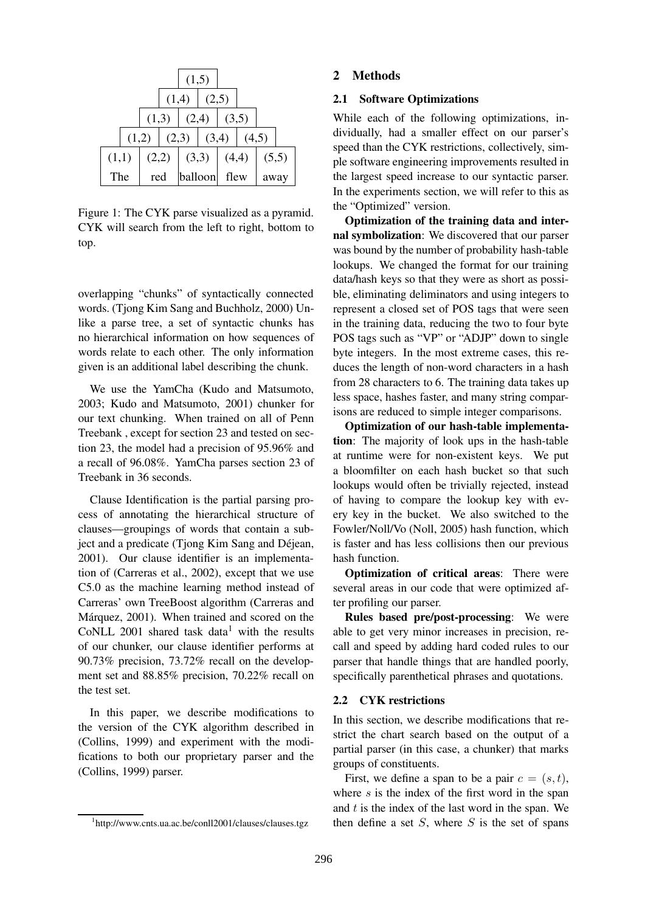|       |       |       |       | (1,5)   |       |       |       |       |  |
|-------|-------|-------|-------|---------|-------|-------|-------|-------|--|
|       |       |       | (1,4) |         |       | (2,5) |       |       |  |
|       |       | (1,3) |       | (2,4)   |       | (3,5) |       |       |  |
|       | (1,2) |       | (2,3) |         | (3,4) |       | (4,5) |       |  |
| (1,1) |       | (2,2) |       | (3,3)   |       | (4,4) |       | (5,5) |  |
| The   |       | red   |       | balloon |       | flew  |       | away  |  |

Figure 1: The CYK parse visualized as a pyramid. CYK will search from the left to right, bottom to top.

overlapping "chunks" of syntactically connected words. (Tjong Kim Sang and Buchholz, 2000) Unlike a parse tree, a set of syntactic chunks has no hierarchical information on how sequences of words relate to each other. The only information given is an additional label describing the chunk.

We use the YamCha (Kudo and Matsumoto, 2003; Kudo and Matsumoto, 2001) chunker for our text chunking. When trained on all of Penn Treebank , except for section 23 and tested on section 23, the model had a precision of 95.96% and a recall of 96.08%. YamCha parses section 23 of Treebank in 36 seconds.

Clause Identification is the partial parsing process of annotating the hierarchical structure of clauses—groupings of words that contain a subject and a predicate (Tjong Kim Sang and Déjean, 2001). Our clause identifier is an implementation of (Carreras et al., 2002), except that we use C5.0 as the machine learning method instead of Carreras' own TreeBoost algorithm (Carreras and Márquez, 2001). When trained and scored on the CoNLL 2001 shared task data<sup>1</sup> with the results of our chunker, our clause identifier performs at 90.73% precision, 73.72% recall on the development set and 88.85% precision, 70.22% recall on the test set.

In this paper, we describe modifications to the version of the CYK algorithm described in (Collins, 1999) and experiment with the modifications to both our proprietary parser and the (Collins, 1999) parser.

#### **2 Methods**

#### **2.1 Software Optimizations**

While each of the following optimizations, individually, had a smaller effect on our parser's speed than the CYK restrictions, collectively, simple software engineering improvements resulted in the largest speed increase to our syntactic parser. In the experiments section, we will refer to this as the "Optimized" version.

**Optimization of the training data and internal symbolization**: We discovered that our parser was bound by the number of probability hash-table lookups. We changed the format for our training data/hash keys so that they were as short as possible, eliminating deliminators and using integers to represent a closed set of POS tags that were seen in the training data, reducing the two to four byte POS tags such as "VP" or "ADJP" down to single byte integers. In the most extreme cases, this reduces the length of non-word characters in a hash from 28 characters to 6. The training data takes up less space, hashes faster, and many string comparisons are reduced to simple integer comparisons.

**Optimization of our hash-table implementation**: The majority of look ups in the hash-table at runtime were for non-existent keys. We put a bloomfilter on each hash bucket so that such lookups would often be trivially rejected, instead of having to compare the lookup key with every key in the bucket. We also switched to the Fowler/Noll/Vo (Noll, 2005) hash function, which is faster and has less collisions then our previous hash function.

**Optimization of critical areas**: There were several areas in our code that were optimized after profiling our parser.

**Rules based pre/post-processing**: We were able to get very minor increases in precision, recall and speed by adding hard coded rules to our parser that handle things that are handled poorly, specifically parenthetical phrases and quotations.

#### **2.2 CYK restrictions**

In this section, we describe modifications that restrict the chart search based on the output of a partial parser (in this case, a chunker) that marks groups of constituents.

First, we define a span to be a pair  $c = (s, t)$ , where  $s$  is the index of the first word in the span and t is the index of the last word in the span. We then define a set  $S$ , where  $S$  is the set of spans

<sup>1</sup> http://www.cnts.ua.ac.be/conll2001/clauses/clauses.tgz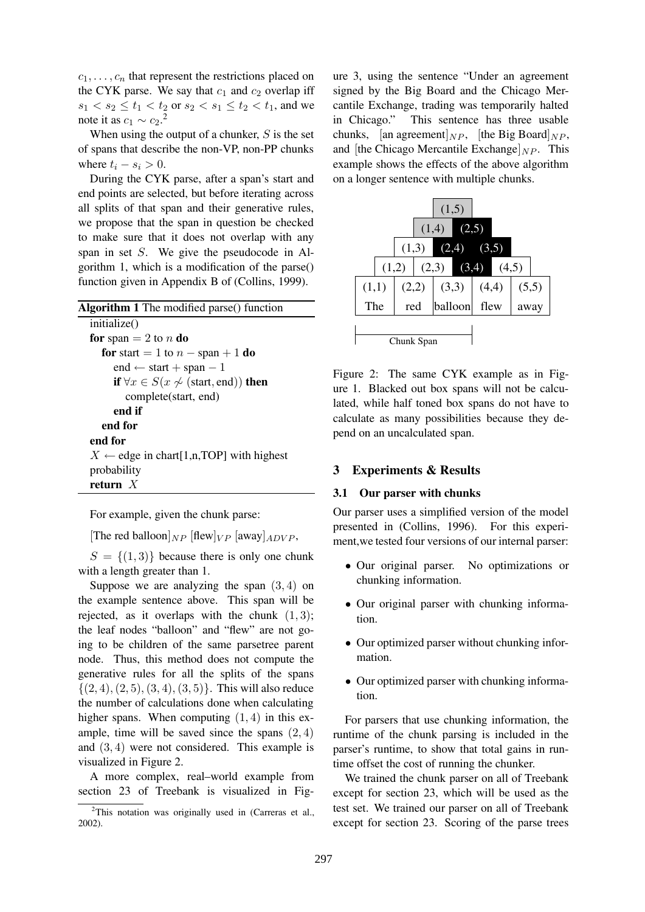$c_1, \ldots, c_n$  that represent the restrictions placed on the CYK parse. We say that  $c_1$  and  $c_2$  overlap iff  $s_1 < s_2 \le t_1 < t_2$  or  $s_2 < s_1 \le t_2 < t_1$ , and we note it as  $c_1 \sim c_2$ <sup>2</sup>.

When using the output of a chunker,  $S$  is the set of spans that describe the non-VP, non-PP chunks where  $t_i - s_i > 0$ .

During the CYK parse, after a span's start and end points are selected, but before iterating across all splits of that span and their generative rules, we propose that the span in question be checked to make sure that it does not overlap with any span in set S. We give the pseudocode in Algorithm 1, which is a modification of the parse() function given in Appendix B of (Collins, 1999).

| <b>Algorithm 1</b> The modified parse() function     |  |  |  |  |
|------------------------------------------------------|--|--|--|--|
| initialize()                                         |  |  |  |  |
| for span $= 2$ to n do                               |  |  |  |  |
| <b>for</b> start = 1 to $n$ – span + 1 <b>do</b>     |  |  |  |  |
| end $\leftarrow$ start + span – 1                    |  |  |  |  |
| if $\forall x \in S(x \not\sim (start, end))$ then   |  |  |  |  |
| complete(start, end)                                 |  |  |  |  |
| end if                                               |  |  |  |  |
| end for                                              |  |  |  |  |
| end for                                              |  |  |  |  |
| $X \leftarrow$ edge in chart [1,n, TOP] with highest |  |  |  |  |
| probability                                          |  |  |  |  |
| return $X$                                           |  |  |  |  |

For example, given the chunk parse:

[The red balloon] $_{NP}$  [flew] $_{VP}$  [away] $_{ADVP}$ ,

 $S = \{(1,3)\}\)$  because there is only one chunk with a length greater than 1.

Suppose we are analyzing the span  $(3, 4)$  on the example sentence above. This span will be rejected, as it overlaps with the chunk  $(1, 3)$ ; the leaf nodes "balloon" and "flew" are not going to be children of the same parsetree parent node. Thus, this method does not compute the generative rules for all the splits of the spans  $\{(2, 4), (2, 5), (3, 4), (3, 5)\}.$  This will also reduce the number of calculations done when calculating higher spans. When computing  $(1, 4)$  in this example, time will be saved since the spans  $(2, 4)$ and (3, 4) were not considered. This example is visualized in Figure 2.

A more complex, real–world example from section 23 of Treebank is visualized in Figure 3, using the sentence "Under an agreement signed by the Big Board and the Chicago Mercantile Exchange, trading was temporarily halted in Chicago." This sentence has three usable chunks, [an agreement] $_{NP}$ , [the Big Board] $_{NP}$ , and [the Chicago Mercantile Exchange] $_{NP}$ . This example shows the effects of the above algorithm on a longer sentence with multiple chunks.



Figure 2: The same CYK example as in Figure 1. Blacked out box spans will not be calculated, while half toned box spans do not have to calculate as many possibilities because they depend on an uncalculated span.

#### **3 Experiments & Results**

#### **3.1 Our parser with chunks**

Our parser uses a simplified version of the model presented in (Collins, 1996). For this experiment,we tested four versions of our internal parser:

- Our original parser. No optimizations or chunking information.
- Our original parser with chunking information.
- Our optimized parser without chunking information.
- Our optimized parser with chunking information.

For parsers that use chunking information, the runtime of the chunk parsing is included in the parser's runtime, to show that total gains in runtime offset the cost of running the chunker.

We trained the chunk parser on all of Treebank except for section 23, which will be used as the test set. We trained our parser on all of Treebank except for section 23. Scoring of the parse trees

 $2$ This notation was originally used in (Carreras et al., 2002).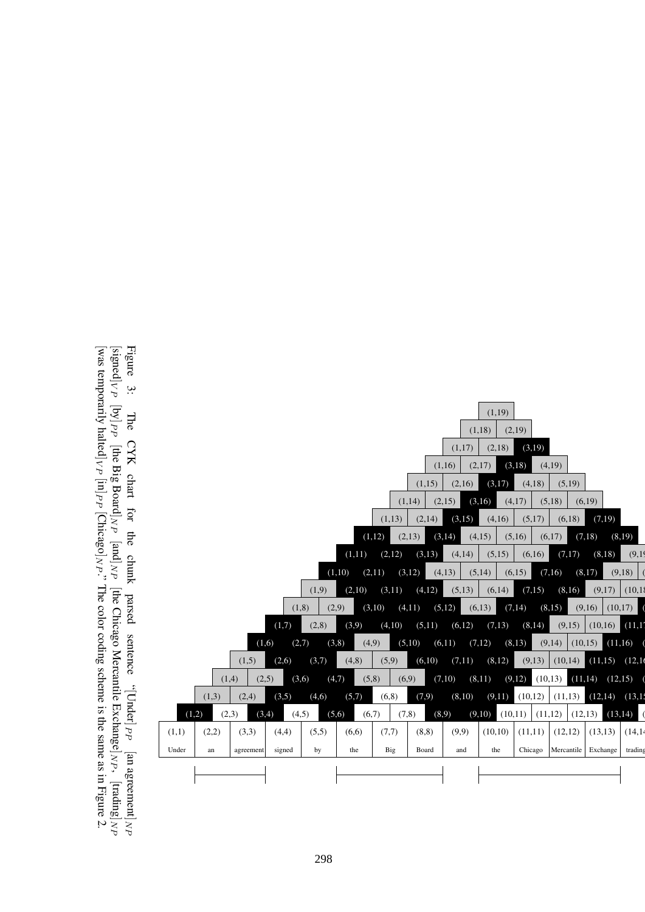

Figure ب The CYK chart for the chunk parsed sentence  $^{d\,d}$ [Dnder]  $^{\rm b}$  $\Xi$ agreement  $\vert_{NP}$  $[\mathrm{signed}]_{VP}$  $[\mathsf{by}]_{PP}$  $\mathop{\mathbb{E}}$ Big  ${\rm B}{\rm or}{\rm a}{\rm d}$  $\vert_{NP}$  $\mathop{\rm{pr}}\nolimits$  $\vert_{NP}$  $\mathop{\mathbb{E}}$ Chicago Mercantile Exchange  $]_{N}$ [trading  $\vert_{NP}$ temporarily halted  $|_{VP}$  [in]  $_{PP}$  [Chicago  $]_{NP}$  ; The color coding scheme is the same as in Figure با

 $\mathbf{g}$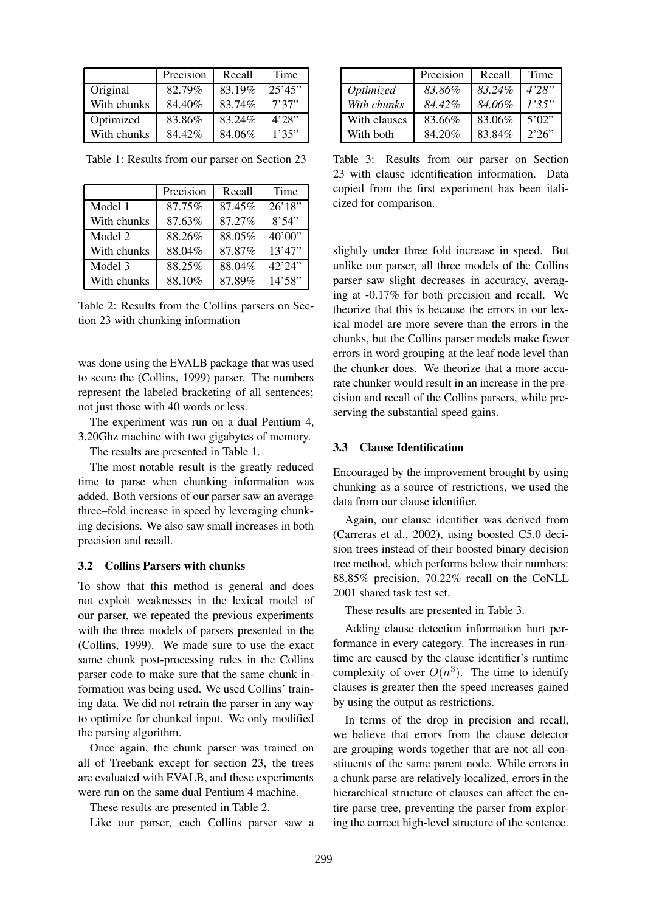|             | Precision | Recall | Time    |
|-------------|-----------|--------|---------|
| Original    | 82.79%    | 83.19% | 25'45'' |
| With chunks | 84.40%    | 83.74% | 7'37''  |
| Optimized   | 83.86%    | 83.24% | 4'28''  |
| With chunks | 84.42%    | 84.06% | 1'35"   |

|             | Precision | Recall | Time    |
|-------------|-----------|--------|---------|
| Model 1     | 87.75%    | 87.45% | 26'18'' |
| With chunks | 87.63%    | 87.27% | 8'54"   |
| Model 2     | 88.26%    | 88.05% | 40'00'' |
| With chunks | 88.04%    | 87.87% | 13'47'' |
| Model 3     | 88.25%    | 88.04% | 42'24'' |
| With chunks | 88.10%    | 87.89% | 14'58"  |

Table 1: Results from our parser on Section 23

Table 2: Results from the Collins parsers on Section 23 with chunking information

was done using the EVALB package that was used to score the (Collins, 1999) parser. The numbers represent the labeled bracketing of all sentences; not just those with 40 words or less.

The experiment was run on a dual Pentium 4, 3.20Ghz machine with two gigabytes of memory.

The results are presented in Table 1.

The most notable result is the greatly reduced time to parse when chunking information was added. Both versions of our parser saw an average three–fold increase in speed by leveraging chunking decisions. We also saw small increases in both precision and recall.

#### **3.2 Collins Parsers with chunks**

To show that this method is general and does not exploit weaknesses in the lexical model of our parser, we repeated the previous experiments with the three models of parsers presented in the (Collins, 1999). We made sure to use the exact same chunk post-processing rules in the Collins parser code to make sure that the same chunk information was being used. We used Collins' training data. We did not retrain the parser in any way to optimize for chunked input. We only modified the parsing algorithm.

Once again, the chunk parser was trained on all of Treebank except for section 23, the trees are evaluated with EVALB, and these experiments were run on the same dual Pentium 4 machine.

These results are presented in Table 2.

Like our parser, each Collins parser saw a

|              | Precision | Recall | Time   |
|--------------|-----------|--------|--------|
| Optimized    | 83.86%    | 83.24% | 4'28"  |
| With chunks  | 84.42%    | 84.06% | 1'35"  |
| With clauses | 83.66%    | 83.06% | 5'02'' |
| With both    | 84.20%    | 83.84% | 2'26"  |

Table 3: Results from our parser on Section 23 with clause identification information. Data copied from the first experiment has been italicized for comparison.

slightly under three fold increase in speed. But unlike our parser, all three models of the Collins parser saw slight decreases in accuracy, averaging at -0.17% for both precision and recall. We theorize that this is because the errors in our lexical model are more severe than the errors in the chunks, but the Collins parser models make fewer errors in word grouping at the leaf node level than the chunker does. We theorize that a more accurate chunker would result in an increase in the precision and recall of the Collins parsers, while preserving the substantial speed gains.

### **3.3 Clause Identification**

Encouraged by the improvement brought by using chunking as a source of restrictions, we used the data from our clause identifier.

Again, our clause identifier was derived from (Carreras et al., 2002), using boosted C5.0 decision trees instead of their boosted binary decision tree method, which performs below their numbers: 88.85% precision, 70.22% recall on the CoNLL 2001 shared task test set.

These results are presented in Table 3.

Adding clause detection information hurt performance in every category. The increases in runtime are caused by the clause identifier's runtime complexity of over  $O(n^3)$ . The time to identify clauses is greater then the speed increases gained by using the output as restrictions.

In terms of the drop in precision and recall, we believe that errors from the clause detector are grouping words together that are not all constituents of the same parent node. While errors in a chunk parse are relatively localized, errors in the hierarchical structure of clauses can affect the entire parse tree, preventing the parser from exploring the correct high-level structure of the sentence.